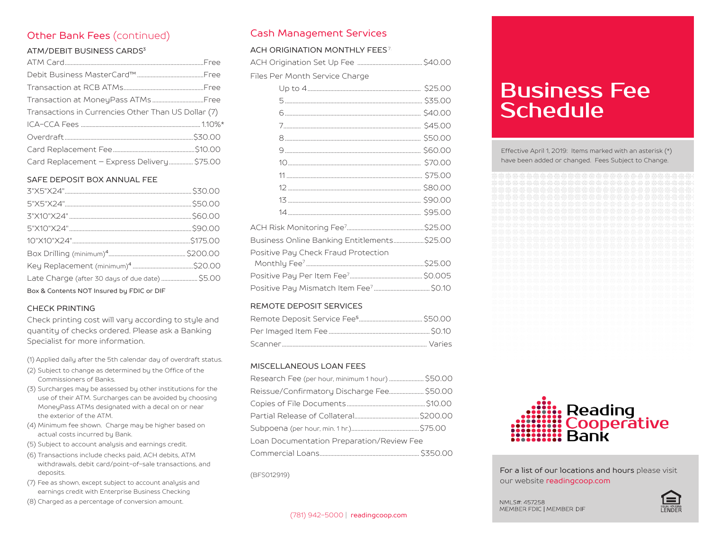# Other Bank Fees (continued)

#### ATM/DEBIT BUSINESS CARDS<sup>3</sup>

| Transactions in Currencies Other Than US Dollar (7) |  |
|-----------------------------------------------------|--|
|                                                     |  |
|                                                     |  |
|                                                     |  |
| Card Replacement - Express Delivery \$75.00         |  |
|                                                     |  |

#### SAFE DEPOSIT BOX ANNUAL FEE

| Late Charge (after 30 days of due date)  \$5.00 |  |
|-------------------------------------------------|--|
| Box & Contents NOT Insured by FDIC or DIF       |  |

## CHECK PRINTING

Check printing cost will vary according to style and quantity of checks ordered. Please ask a Banking Specialist for more information.

(1) Applied daily after the 5th calendar day of overdraft status.

- (2) Subject to change as determined by the Office of the Commissioners of Banks.
- (3) Surcharges may be assessed by other institutions for the use of their ATM. Surcharges can be avoided by choosing MoneyPass ATMs designated with a decal on or near the exterior of the ATM.
- (4) Minimum fee shown. Charge may be higher based on actual costs incurred by Bank.
- (5) Subject to account analysis and earnings credit.
- (6) Transactions include checks paid, ACH debits, ATM withdrawals, debit card/point-of-sale transactions, and deposits.
- (7) Fee as shown, except subject to account analysis and earnings credit with Enterprise Business Checking
- (8) Charged as a percentage of conversion amount.

## Cash Management Services

## ACH ORIGINATION MONTHLY FEES<sup>7</sup>

| Files Per Month Service Charge |  |
|--------------------------------|--|
|                                |  |
|                                |  |
|                                |  |
|                                |  |
|                                |  |
|                                |  |

| Business Online Banking Entitlements\$25.00 |  |
|---------------------------------------------|--|
| Positive Pay Check Fraud Protection         |  |
|                                             |  |
|                                             |  |
|                                             |  |

## REMOTE DEPOSIT SERVICES

#### MISCELLANEOUS LOAN FEES

| Reissue/Confirmatory Discharge Fee \$50.00 |  |
|--------------------------------------------|--|
|                                            |  |
|                                            |  |
|                                            |  |
| Loan Documentation Preparation/Review Fee  |  |
|                                            |  |

(BFS012919)

# Business Fee **Schedule**

Effective April 1, 2019: Items marked with an asterisk (\*) have been added or changed. Fees Subject to Change.

|  | <b>SEA SEA</b> |   | <b>#</b> |  |  |                                        |                 |              |   |    |     |                    |   |   |       |                     |    |  | The time of the construction and |  |
|--|----------------|---|----------|--|--|----------------------------------------|-----------------|--------------|---|----|-----|--------------------|---|---|-------|---------------------|----|--|----------------------------------|--|
|  |                |   |          |  |  |                                        | ₩,              | <b>da da</b> |   | ₩  | ¢   |                    |   |   | Š-S   | S.                  |    |  |                                  |  |
|  |                | 4 | ġ        |  |  | 靈靈                                     | <b>ORIGINAL</b> |              |   | e. | ė   | $\frac{1}{\log n}$ |   | ÷ | ÷.    | ÷,                  | ł. |  |                                  |  |
|  |                |   | ű.       |  |  | <b>de de</b>                           | alin            | 40 db        |   | 鼺  | di. | ₩₩                 |   |   | ġ.    | $\frac{1000}{1000}$ |    |  |                                  |  |
|  |                |   |          |  |  |                                        |                 |              |   |    |     |                    |   |   | \$-\$ |                     |    |  |                                  |  |
|  |                |   |          |  |  |                                        |                 | 40 dib       |   | w. |     |                    | i |   | \$.   | 4                   |    |  |                                  |  |
|  |                |   |          |  |  | an an                                  | SS.             | <b>REGIS</b> | m | m  |     |                    |   |   |       |                     |    |  |                                  |  |
|  |                |   |          |  |  |                                        |                 |              |   |    |     |                    |   |   | S.    | Ð                   |    |  |                                  |  |
|  |                |   |          |  |  |                                        |                 |              |   |    |     |                    |   |   |       |                     |    |  |                                  |  |
|  |                |   |          |  |  |                                        |                 |              |   |    |     |                    |   |   |       |                     |    |  |                                  |  |
|  |                |   |          |  |  | dis dis dis dis dis                    |                 |              |   |    |     |                    |   |   |       |                     |    |  |                                  |  |
|  |                |   |          |  |  |                                        |                 |              |   |    |     |                    |   |   |       |                     |    |  |                                  |  |
|  |                |   |          |  |  | and a radio codes centre centre state. |                 |              |   |    |     |                    |   |   |       |                     |    |  |                                  |  |
|  |                |   |          |  |  |                                        |                 |              |   |    |     |                    |   |   |       |                     |    |  |                                  |  |
|  |                |   |          |  |  |                                        |                 |              |   |    |     |                    |   |   |       |                     |    |  |                                  |  |
|  |                |   |          |  |  |                                        |                 |              |   |    |     |                    |   |   |       |                     |    |  |                                  |  |
|  |                |   |          |  |  |                                        |                 |              |   |    |     |                    |   |   |       |                     |    |  |                                  |  |
|  |                |   |          |  |  |                                        |                 |              |   |    |     |                    |   |   |       |                     |    |  |                                  |  |
|  |                |   |          |  |  |                                        |                 |              |   |    |     |                    |   |   |       |                     |    |  |                                  |  |
|  |                |   |          |  |  |                                        |                 |              |   |    |     |                    |   |   |       |                     |    |  |                                  |  |
|  |                |   |          |  |  |                                        |                 |              |   |    |     |                    |   |   |       |                     |    |  |                                  |  |
|  |                |   |          |  |  |                                        |                 |              |   |    |     |                    |   |   |       |                     |    |  |                                  |  |
|  |                |   |          |  |  |                                        |                 |              |   |    |     |                    |   |   |       |                     |    |  |                                  |  |
|  |                |   |          |  |  |                                        |                 |              |   |    |     |                    |   |   |       |                     |    |  |                                  |  |
|  |                |   |          |  |  |                                        |                 |              |   |    |     |                    |   |   |       |                     |    |  |                                  |  |
|  |                |   |          |  |  |                                        |                 |              |   |    |     |                    |   |   |       |                     |    |  |                                  |  |
|  |                |   |          |  |  |                                        |                 |              |   |    |     |                    |   |   |       |                     |    |  |                                  |  |
|  |                |   |          |  |  |                                        |                 |              |   |    |     |                    |   |   |       |                     |    |  |                                  |  |



For a list of our locations and hours please visit our website readingcoop.com

NMLS#: 457258 MEMBER FDIC | MEMBER DIF